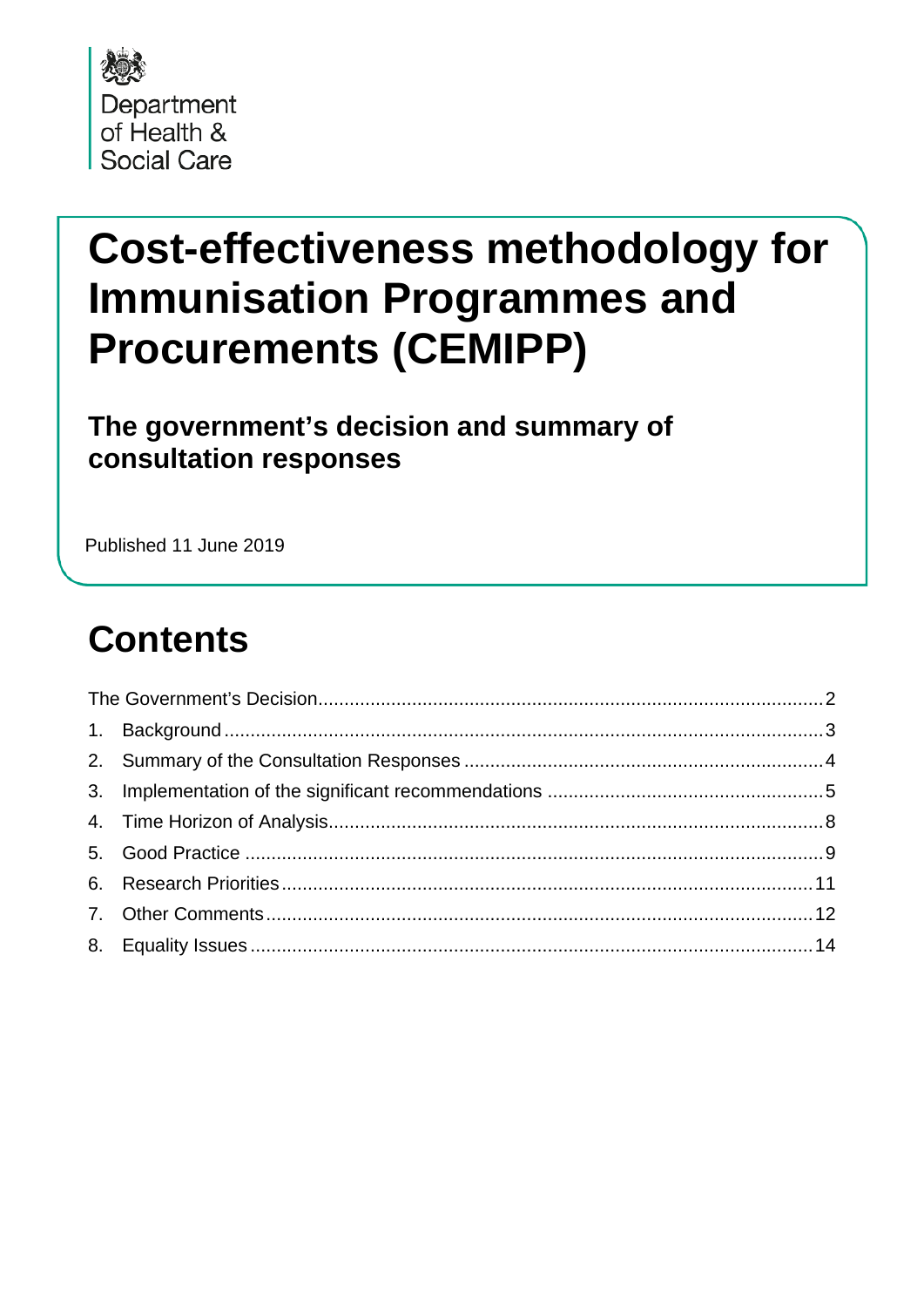

# **Cost-effectiveness methodology for Immunisation Programmes and Procurements (CEMIPP)**

The government's decision and summary of consultation responses

Published 11 June 2019

#### **Contents**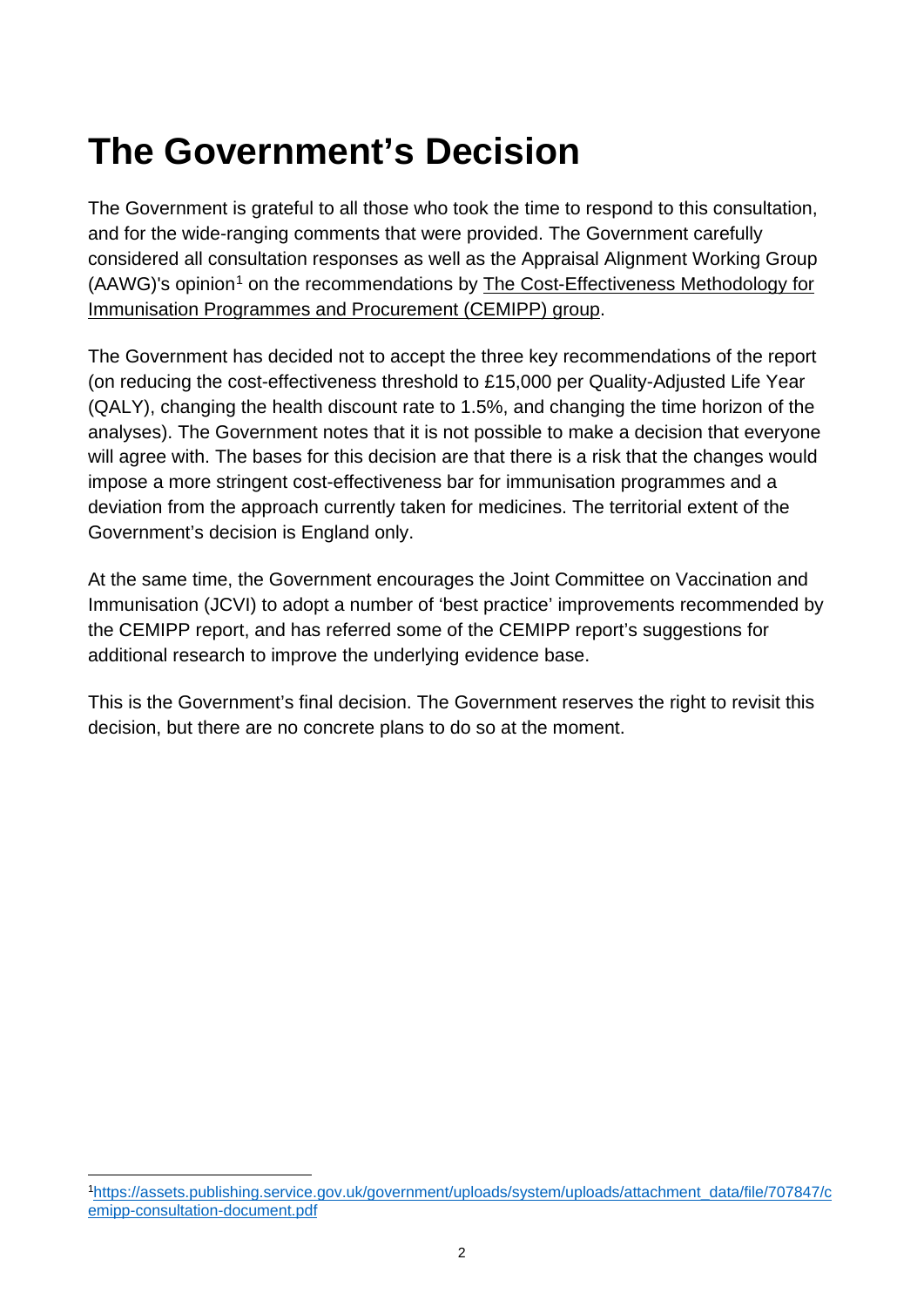### <span id="page-1-0"></span>**The Government's Decision**

The Government is grateful to all those who took the time to respond to this consultation, and for the wide-ranging comments that were provided. The Government carefully considered all consultation responses as well as the Appraisal Alignment Working Group (AAWG)'s opinion<sup>[1](#page-1-1)</sup> on the recommendations by The Cost-Effectiveness Methodology for Immunisation Programmes and Procurement (CEMIPP) group.

The Government has decided not to accept the three key recommendations of the report (on reducing the cost-effectiveness threshold to £15,000 per Quality-Adjusted Life Year (QALY), changing the health discount rate to 1.5%, and changing the time horizon of the analyses). The Government notes that it is not possible to make a decision that everyone will agree with. The bases for this decision are that there is a risk that the changes would impose a more stringent cost-effectiveness bar for immunisation programmes and a deviation from the approach currently taken for medicines. The territorial extent of the Government's decision is England only.

At the same time, the Government encourages the Joint Committee on Vaccination and Immunisation (JCVI) to adopt a number of 'best practice' improvements recommended by the CEMIPP report, and has referred some of the CEMIPP report's suggestions for additional research to improve the underlying evidence base.

This is the Government's final decision. The Government reserves the right to revisit this decision, but there are no concrete plans to do so at the moment.

<span id="page-1-1"></span> [<sup>1</sup>https://assets.publishing.service.gov.uk/government/uploads/system/uploads/attachment\\_data/file/707847/c](https://assets.publishing.service.gov.uk/government/uploads/system/uploads/attachment_data/file/707847/cemipp-consultation-document.pdf) [emipp-consultation-document.pdf](https://assets.publishing.service.gov.uk/government/uploads/system/uploads/attachment_data/file/707847/cemipp-consultation-document.pdf)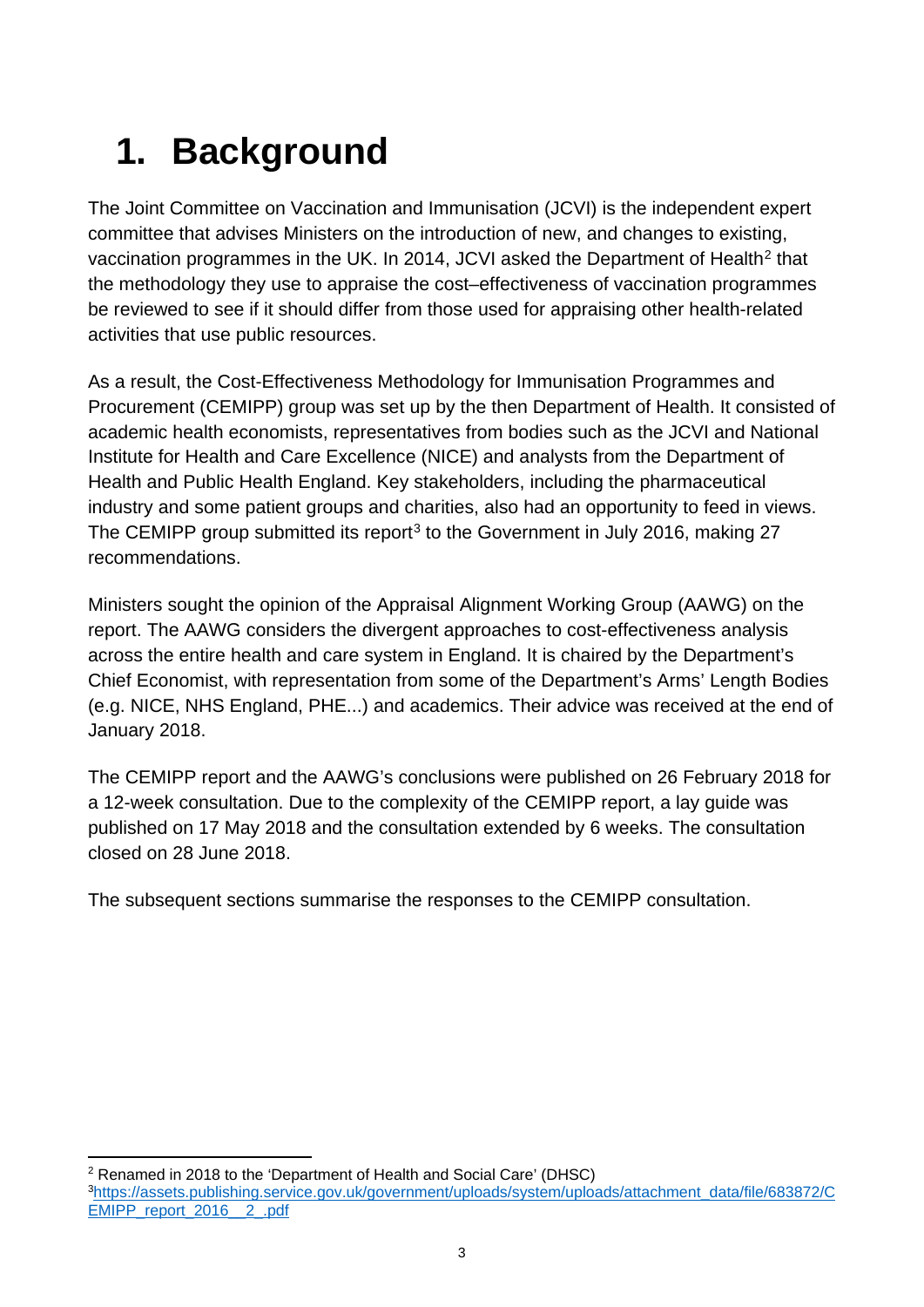# <span id="page-2-0"></span>**1. Background**

The Joint Committee on Vaccination and Immunisation (JCVI) is the independent expert committee that advises Ministers on the introduction of new, and changes to existing, vaccination programmes in the UK. In [2](#page-2-1)014, JCVI asked the Department of Health<sup>2</sup> that the methodology they use to appraise the cost–effectiveness of vaccination programmes be reviewed to see if it should differ from those used for appraising other health-related activities that use public resources.

As a result, the Cost-Effectiveness Methodology for Immunisation Programmes and Procurement (CEMIPP) group was set up by the then Department of Health. It consisted of academic health economists, representatives from bodies such as the JCVI and National Institute for Health and Care Excellence (NICE) and analysts from the Department of Health and Public Health England. Key stakeholders, including the pharmaceutical industry and some patient groups and charities, also had an opportunity to feed in views. The CEMIPP group submitted its report<sup>[3](#page-2-2)</sup> to the Government in July 2016, making 27 recommendations.

Ministers sought the opinion of the Appraisal Alignment Working Group (AAWG) on the report. The AAWG considers the divergent approaches to cost-effectiveness analysis across the entire health and care system in England. It is chaired by the Department's Chief Economist, with representation from some of the Department's Arms' Length Bodies (e.g. NICE, NHS England, PHE...) and academics. Their advice was received at the end of January 2018.

The CEMIPP report and the AAWG's conclusions were published on 26 February 2018 for a 12-week consultation. Due to the complexity of the CEMIPP report, a lay guide was published on 17 May 2018 and the consultation extended by 6 weeks. The consultation closed on 28 June 2018.

The subsequent sections summarise the responses to the CEMIPP consultation.

<span id="page-2-1"></span> <sup>2</sup> Renamed in 2018 to the 'Department of Health and Social Care' (DHSC)

<span id="page-2-2"></span>[<sup>3</sup>https://assets.publishing.service.gov.uk/government/uploads/system/uploads/attachment\\_data/file/683872/C](https://assets.publishing.service.gov.uk/government/uploads/system/uploads/attachment_data/file/683872/CEMIPP_report_2016__2_.pdf) [EMIPP\\_report\\_2016\\_\\_2\\_.pdf](https://assets.publishing.service.gov.uk/government/uploads/system/uploads/attachment_data/file/683872/CEMIPP_report_2016__2_.pdf)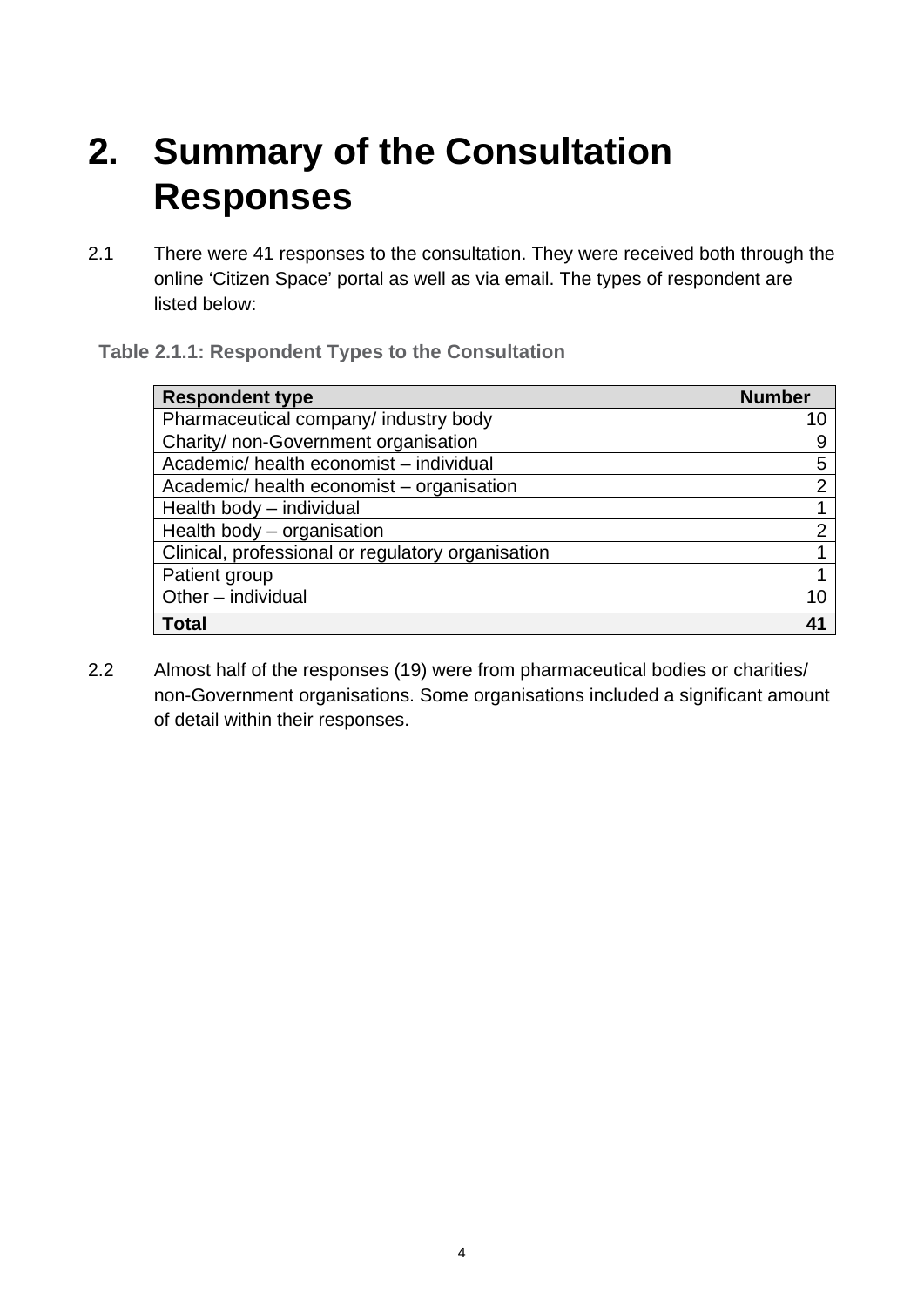### <span id="page-3-0"></span>**2. Summary of the Consultation Responses**

2.1 There were 41 responses to the consultation. They were received both through the online 'Citizen Space' portal as well as via email. The types of respondent are listed below:

#### **Table 2.1.1: Respondent Types to the Consultation**

| <b>Respondent type</b>                            | <b>Number</b>  |
|---------------------------------------------------|----------------|
| Pharmaceutical company/ industry body             | 10             |
| Charity/ non-Government organisation              | 9              |
| Academic/ health economist - individual           | 5              |
| Academic/health economist – organisation          | $\overline{2}$ |
| Health body - individual                          |                |
| Health body - organisation                        | $\overline{2}$ |
| Clinical, professional or regulatory organisation |                |
| Patient group                                     |                |
| Other - individual                                | 10             |
| <b>Total</b>                                      | 41             |

2.2 Almost half of the responses (19) were from pharmaceutical bodies or charities/ non-Government organisations. Some organisations included a significant amount of detail within their responses.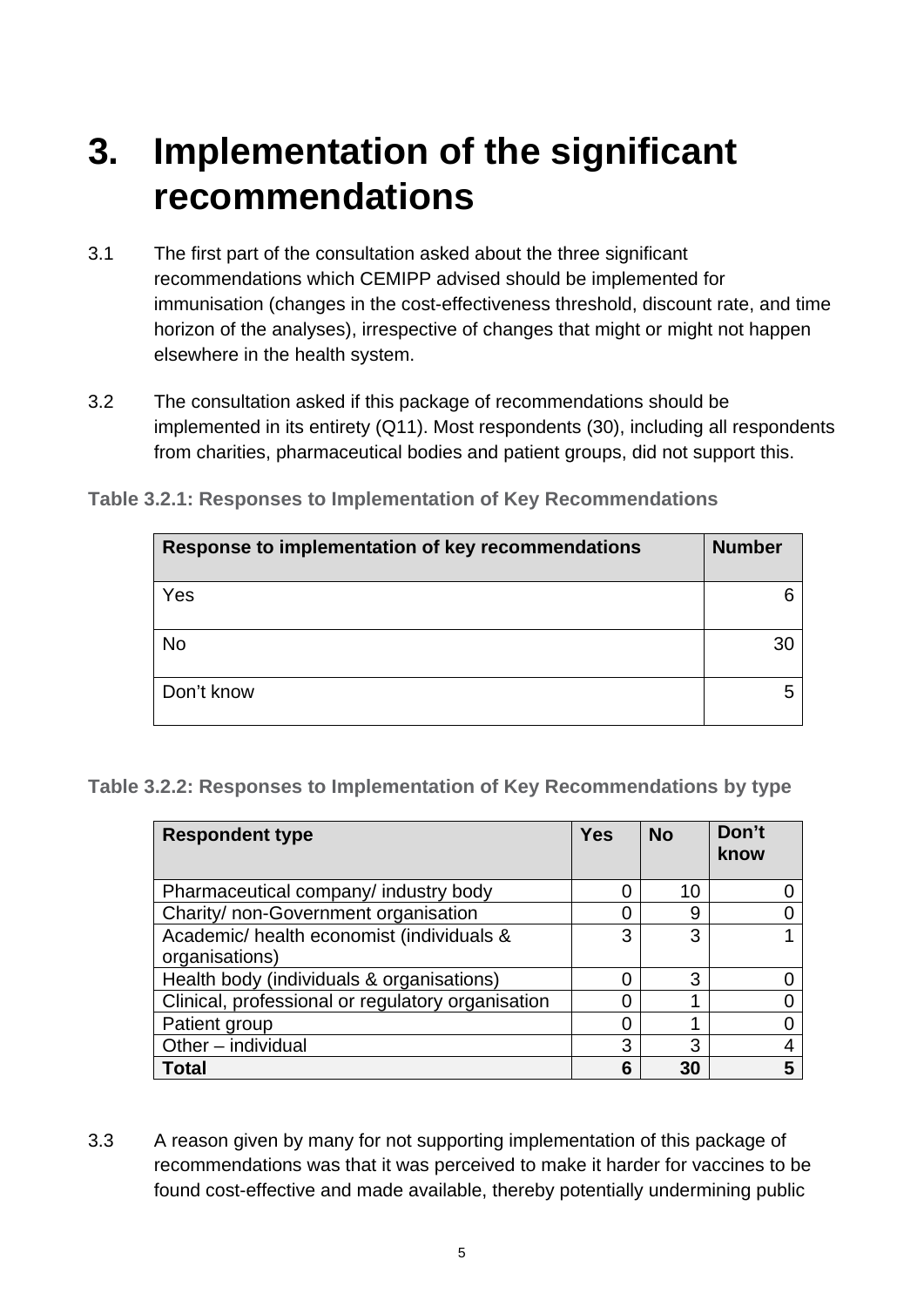### <span id="page-4-0"></span>**3. Implementation of the significant recommendations**

- 3.1 The first part of the consultation asked about the three significant recommendations which CEMIPP advised should be implemented for immunisation (changes in the cost-effectiveness threshold, discount rate, and time horizon of the analyses), irrespective of changes that might or might not happen elsewhere in the health system.
- 3.2 The consultation asked if this package of recommendations should be implemented in its entirety (Q11). Most respondents (30), including all respondents from charities, pharmaceutical bodies and patient groups, did not support this.

| Response to implementation of key recommendations | <b>Number</b> |
|---------------------------------------------------|---------------|
| Yes                                               |               |
| <b>No</b>                                         | 30            |
| Don't know                                        |               |

**Table 3.2.1: Responses to Implementation of Key Recommendations**

**Table 3.2.2: Responses to Implementation of Key Recommendations by type**

| <b>Respondent type</b>                                     | <b>Yes</b> | <b>No</b> | Don't<br>know |
|------------------------------------------------------------|------------|-----------|---------------|
| Pharmaceutical company/ industry body                      |            | 10        |               |
| Charity/ non-Government organisation                       |            | 9         |               |
| Academic/health economist (individuals &<br>organisations) | 3          | 3         |               |
| Health body (individuals & organisations)                  |            | 3         |               |
| Clinical, professional or regulatory organisation          |            |           |               |
| Patient group                                              | Ⴖ          |           |               |
| Other - individual                                         | 3          | 3         |               |
| Total                                                      | 6          | 30        |               |

3.3 A reason given by many for not supporting implementation of this package of recommendations was that it was perceived to make it harder for vaccines to be found cost-effective and made available, thereby potentially undermining public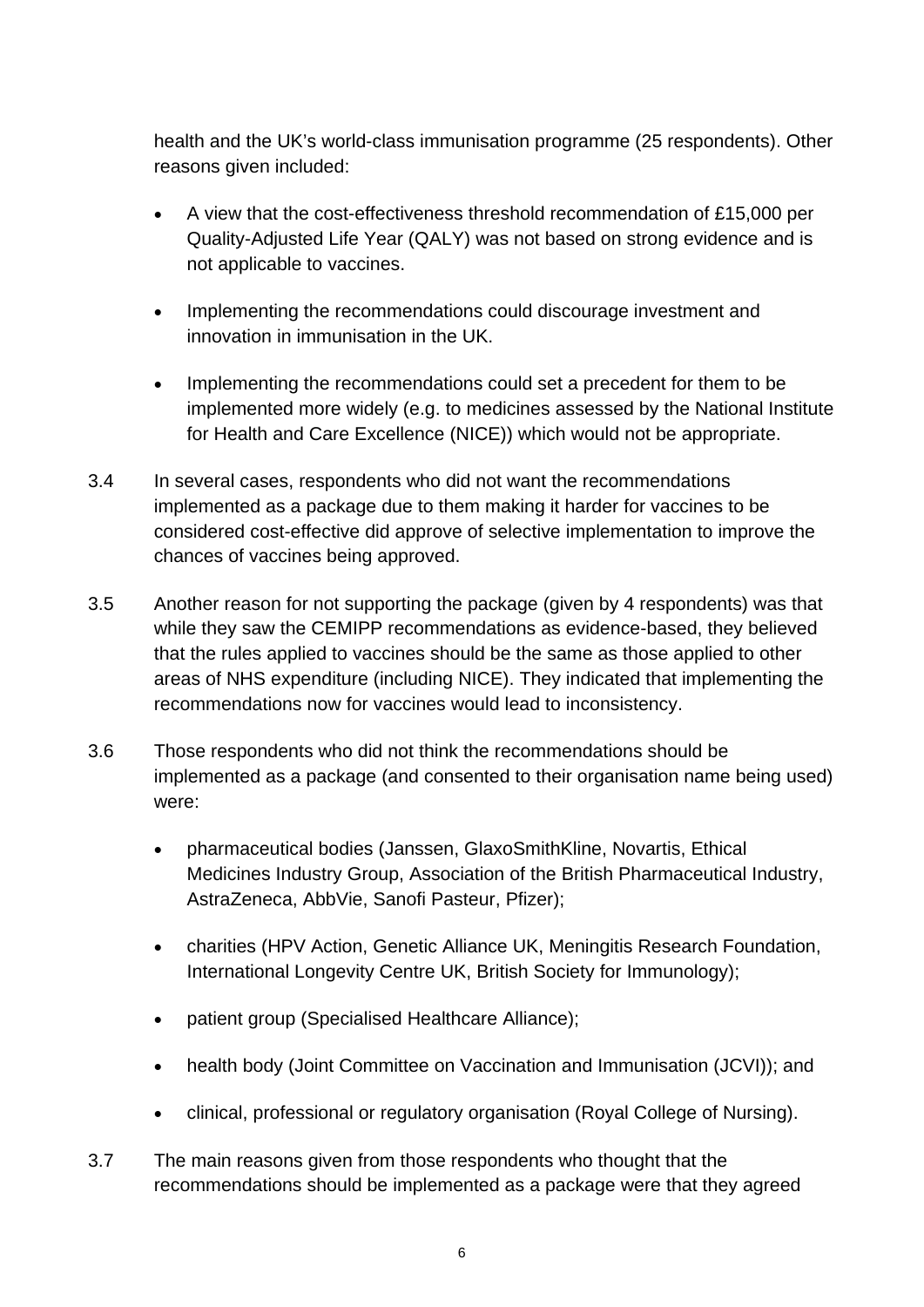health and the UK's world-class immunisation programme (25 respondents). Other reasons given included:

- A view that the cost-effectiveness threshold recommendation of £15,000 per Quality-Adjusted Life Year (QALY) was not based on strong evidence and is not applicable to vaccines.
- Implementing the recommendations could discourage investment and innovation in immunisation in the UK.
- Implementing the recommendations could set a precedent for them to be implemented more widely (e.g. to medicines assessed by the National Institute for Health and Care Excellence (NICE)) which would not be appropriate.
- 3.4 In several cases, respondents who did not want the recommendations implemented as a package due to them making it harder for vaccines to be considered cost-effective did approve of selective implementation to improve the chances of vaccines being approved.
- 3.5 Another reason for not supporting the package (given by 4 respondents) was that while they saw the CEMIPP recommendations as evidence-based, they believed that the rules applied to vaccines should be the same as those applied to other areas of NHS expenditure (including NICE). They indicated that implementing the recommendations now for vaccines would lead to inconsistency.
- 3.6 Those respondents who did not think the recommendations should be implemented as a package (and consented to their organisation name being used) were:
	- pharmaceutical bodies (Janssen, GlaxoSmithKline, Novartis, Ethical Medicines Industry Group, Association of the British Pharmaceutical Industry, AstraZeneca, AbbVie, Sanofi Pasteur, Pfizer);
	- charities (HPV Action, Genetic Alliance UK, Meningitis Research Foundation, International Longevity Centre UK, British Society for Immunology);
	- patient group (Specialised Healthcare Alliance);
	- health body (Joint Committee on Vaccination and Immunisation (JCVI)); and
	- clinical, professional or regulatory organisation (Royal College of Nursing).
- 3.7 The main reasons given from those respondents who thought that the recommendations should be implemented as a package were that they agreed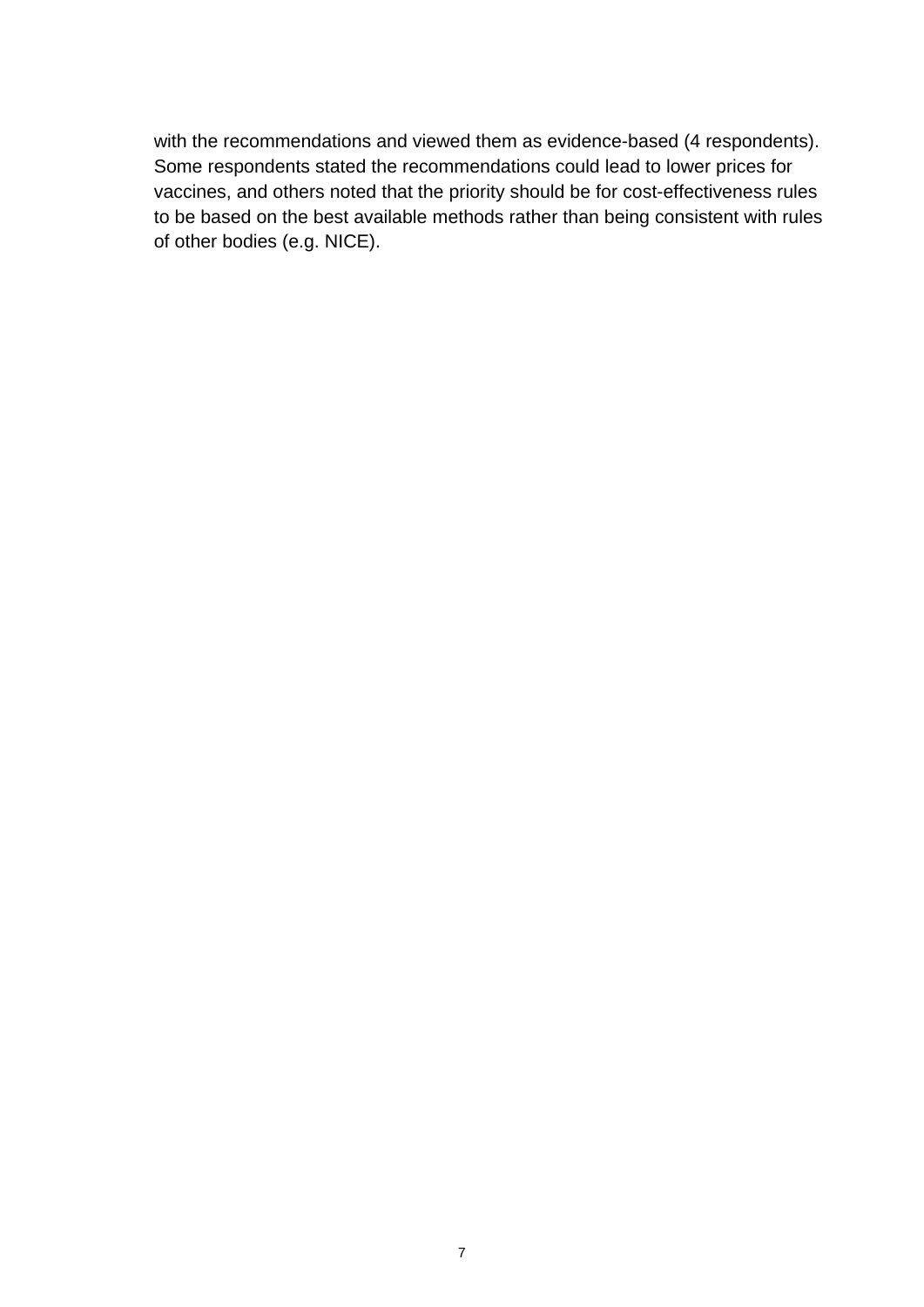with the recommendations and viewed them as evidence-based (4 respondents). Some respondents stated the recommendations could lead to lower prices for vaccines, and others noted that the priority should be for cost-effectiveness rules to be based on the best available methods rather than being consistent with rules of other bodies (e.g. NICE).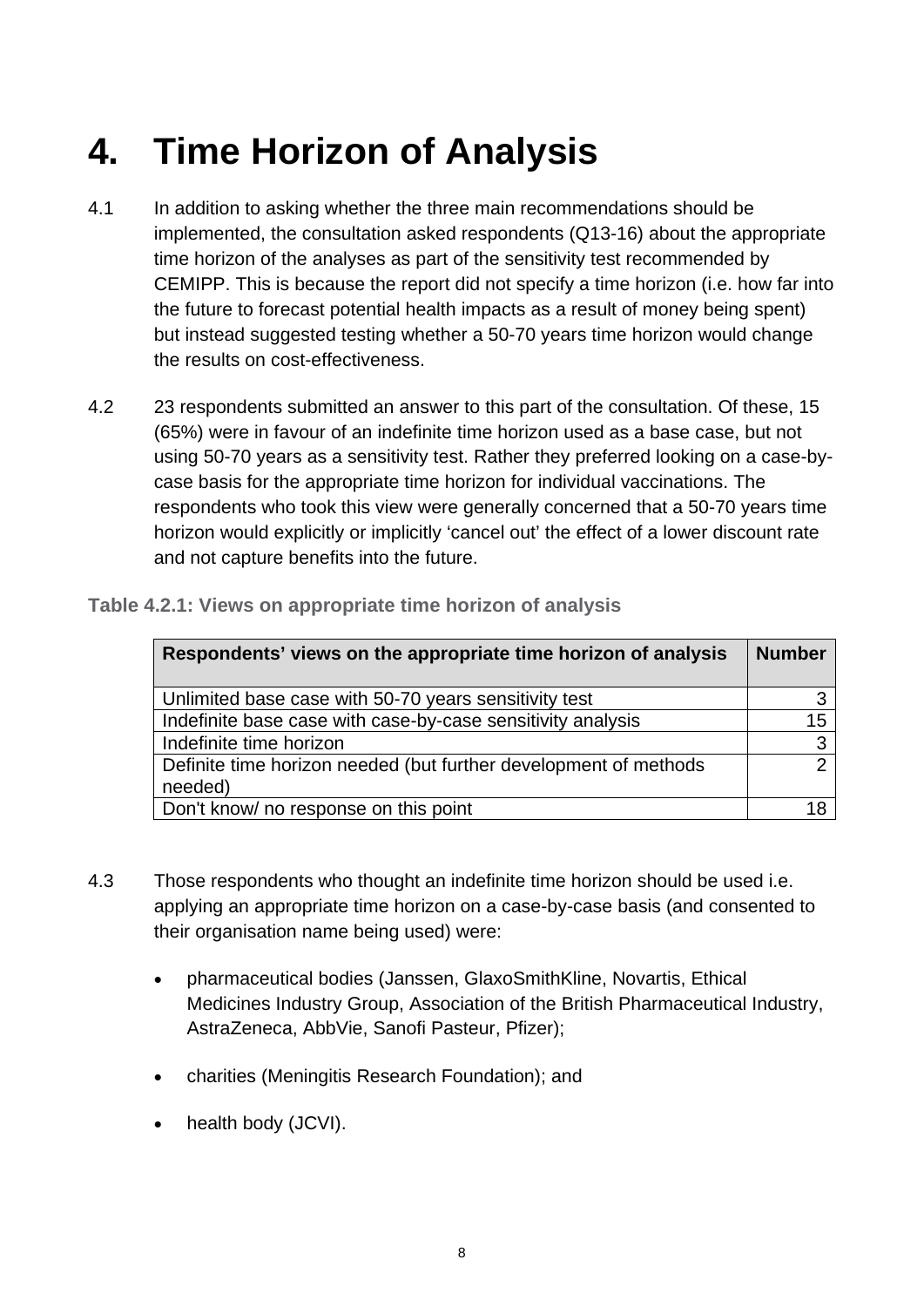### <span id="page-7-0"></span>**4. Time Horizon of Analysis**

- 4.1 In addition to asking whether the three main recommendations should be implemented, the consultation asked respondents (Q13-16) about the appropriate time horizon of the analyses as part of the sensitivity test recommended by CEMIPP. This is because the report did not specify a time horizon (i.e. how far into the future to forecast potential health impacts as a result of money being spent) but instead suggested testing whether a 50-70 years time horizon would change the results on cost-effectiveness.
- 4.2 23 respondents submitted an answer to this part of the consultation. Of these, 15 (65%) were in favour of an indefinite time horizon used as a base case, but not using 50-70 years as a sensitivity test. Rather they preferred looking on a case-bycase basis for the appropriate time horizon for individual vaccinations. The respondents who took this view were generally concerned that a 50-70 years time horizon would explicitly or implicitly 'cancel out' the effect of a lower discount rate and not capture benefits into the future.

| Respondents' views on the appropriate time horizon of analysis              | <b>Number</b> |
|-----------------------------------------------------------------------------|---------------|
| Unlimited base case with 50-70 years sensitivity test                       |               |
| Indefinite base case with case-by-case sensitivity analysis                 | 15            |
| Indefinite time horizon                                                     | 3             |
| Definite time horizon needed (but further development of methods<br>needed) |               |
| Don't know/ no response on this point                                       |               |

#### **Table 4.2.1: Views on appropriate time horizon of analysis**

- 4.3 Those respondents who thought an indefinite time horizon should be used i.e. applying an appropriate time horizon on a case-by-case basis (and consented to their organisation name being used) were:
	- pharmaceutical bodies (Janssen, GlaxoSmithKline, Novartis, Ethical Medicines Industry Group, Association of the British Pharmaceutical Industry, AstraZeneca, AbbVie, Sanofi Pasteur, Pfizer);
	- charities (Meningitis Research Foundation); and
	- health body (JCVI).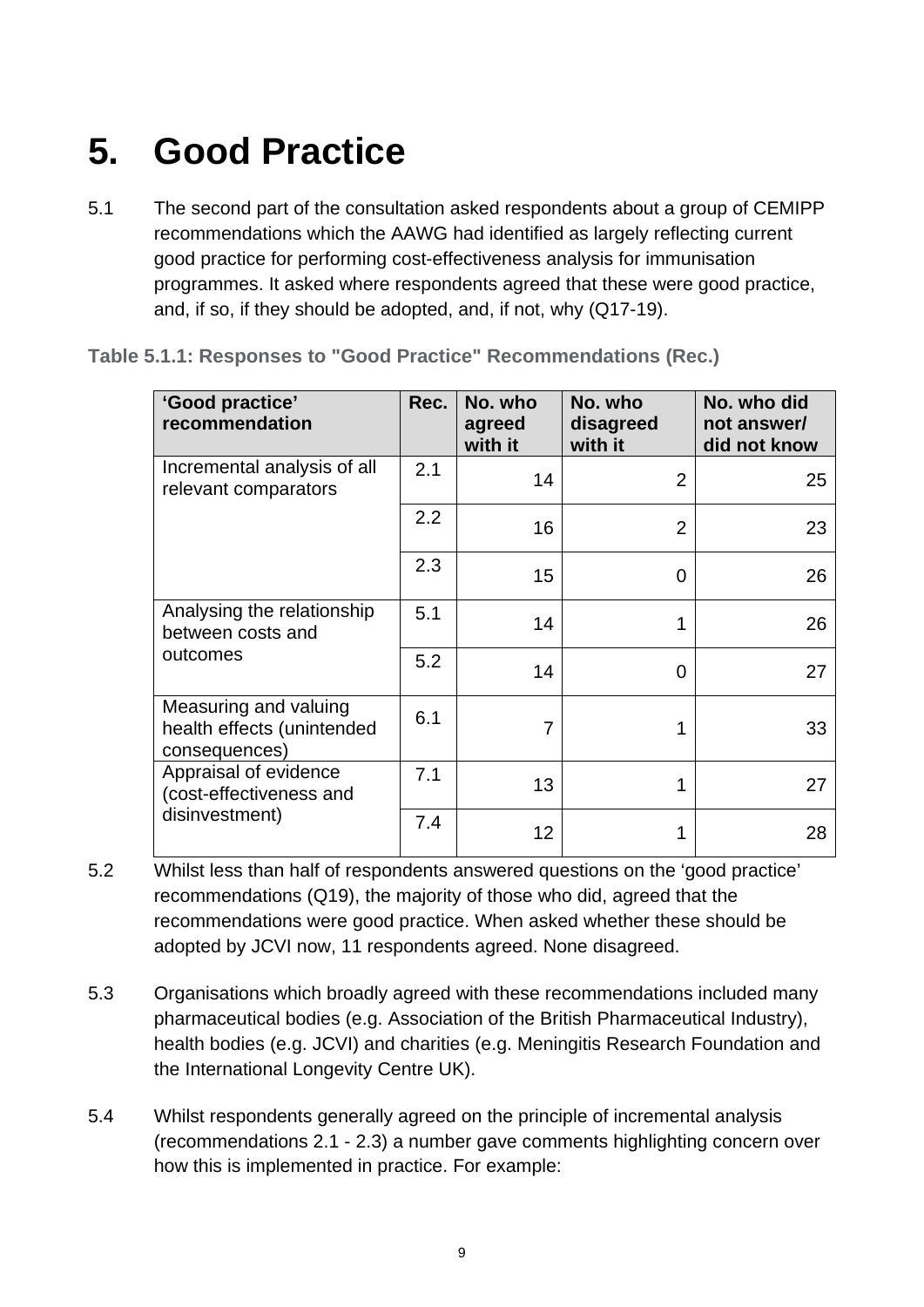### <span id="page-8-0"></span>**5. Good Practice**

5.1 The second part of the consultation asked respondents about a group of CEMIPP recommendations which the AAWG had identified as largely reflecting current good practice for performing cost-effectiveness analysis for immunisation programmes. It asked where respondents agreed that these were good practice, and, if so, if they should be adopted, and, if not, why (Q17-19).

| 'Good practice'<br>recommendation                                    | Rec. | No. who<br>agreed<br>with it | No. who<br>disagreed<br>with it | No. who did<br>not answer/<br>did not know |
|----------------------------------------------------------------------|------|------------------------------|---------------------------------|--------------------------------------------|
| Incremental analysis of all<br>relevant comparators                  | 2.1  | 14                           | $\overline{2}$                  | 25                                         |
|                                                                      | 2.2  | 16                           | $\overline{2}$                  | 23                                         |
|                                                                      | 2.3  | 15                           | 0                               | 26                                         |
| Analysing the relationship<br>between costs and                      | 5.1  | 14                           | 1                               | 26                                         |
| outcomes                                                             | 5.2  | 14                           | 0                               | 27                                         |
| Measuring and valuing<br>health effects (unintended<br>consequences) | 6.1  | 7                            |                                 | 33                                         |
| Appraisal of evidence<br>(cost-effectiveness and                     | 7.1  | 13                           | 1                               | 27                                         |
| disinvestment)                                                       | 7.4  | 12                           |                                 | 28                                         |

**Table 5.1.1: Responses to "Good Practice" Recommendations (Rec.)**

- 5.2 Whilst less than half of respondents answered questions on the 'good practice' recommendations (Q19), the majority of those who did, agreed that the recommendations were good practice. When asked whether these should be adopted by JCVI now, 11 respondents agreed. None disagreed.
- 5.3 Organisations which broadly agreed with these recommendations included many pharmaceutical bodies (e.g. Association of the British Pharmaceutical Industry), health bodies (e.g. JCVI) and charities (e.g. Meningitis Research Foundation and the International Longevity Centre UK).
- 5.4 Whilst respondents generally agreed on the principle of incremental analysis (recommendations 2.1 - 2.3) a number gave comments highlighting concern over how this is implemented in practice. For example: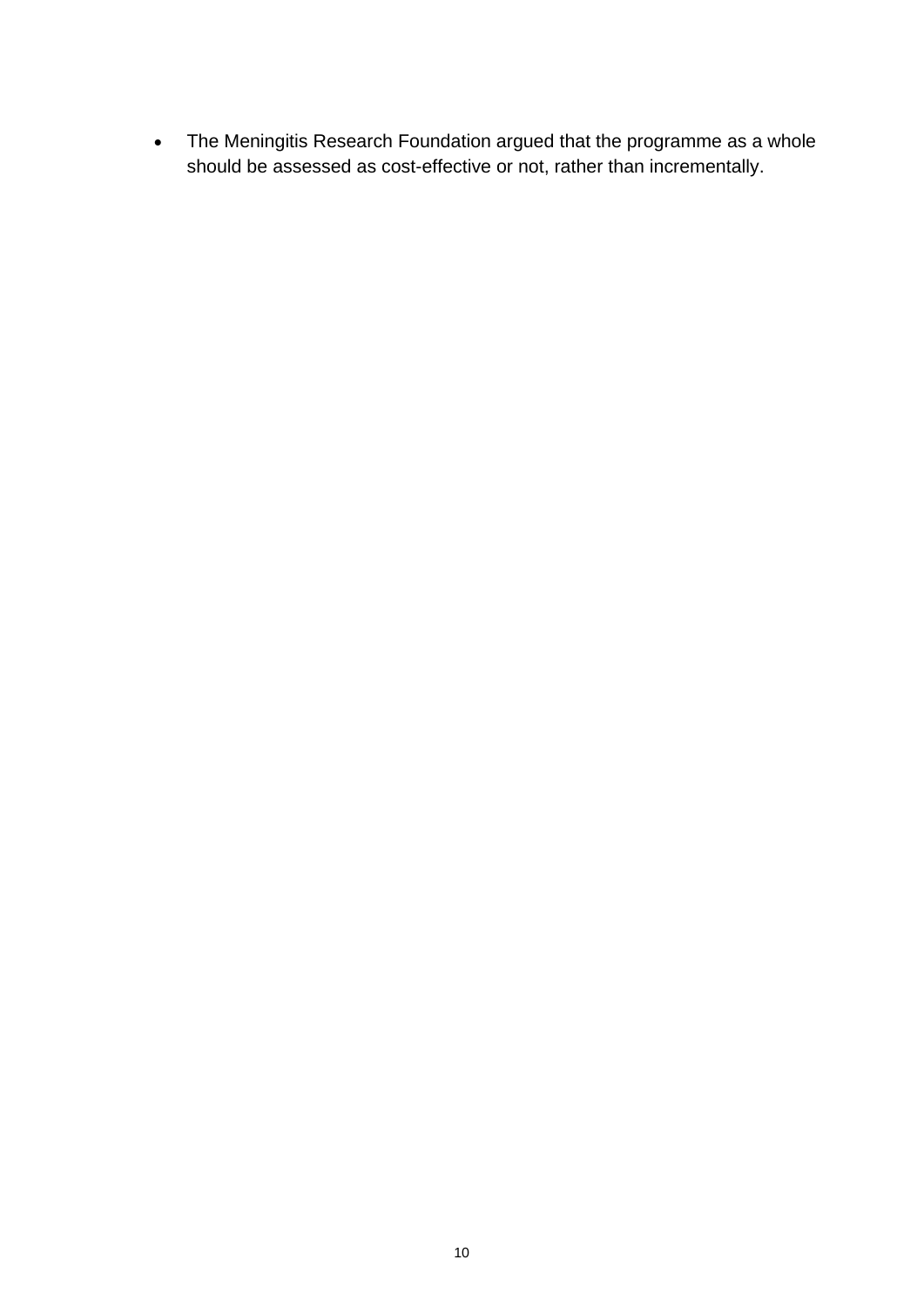• The Meningitis Research Foundation argued that the programme as a whole should be assessed as cost-effective or not, rather than incrementally.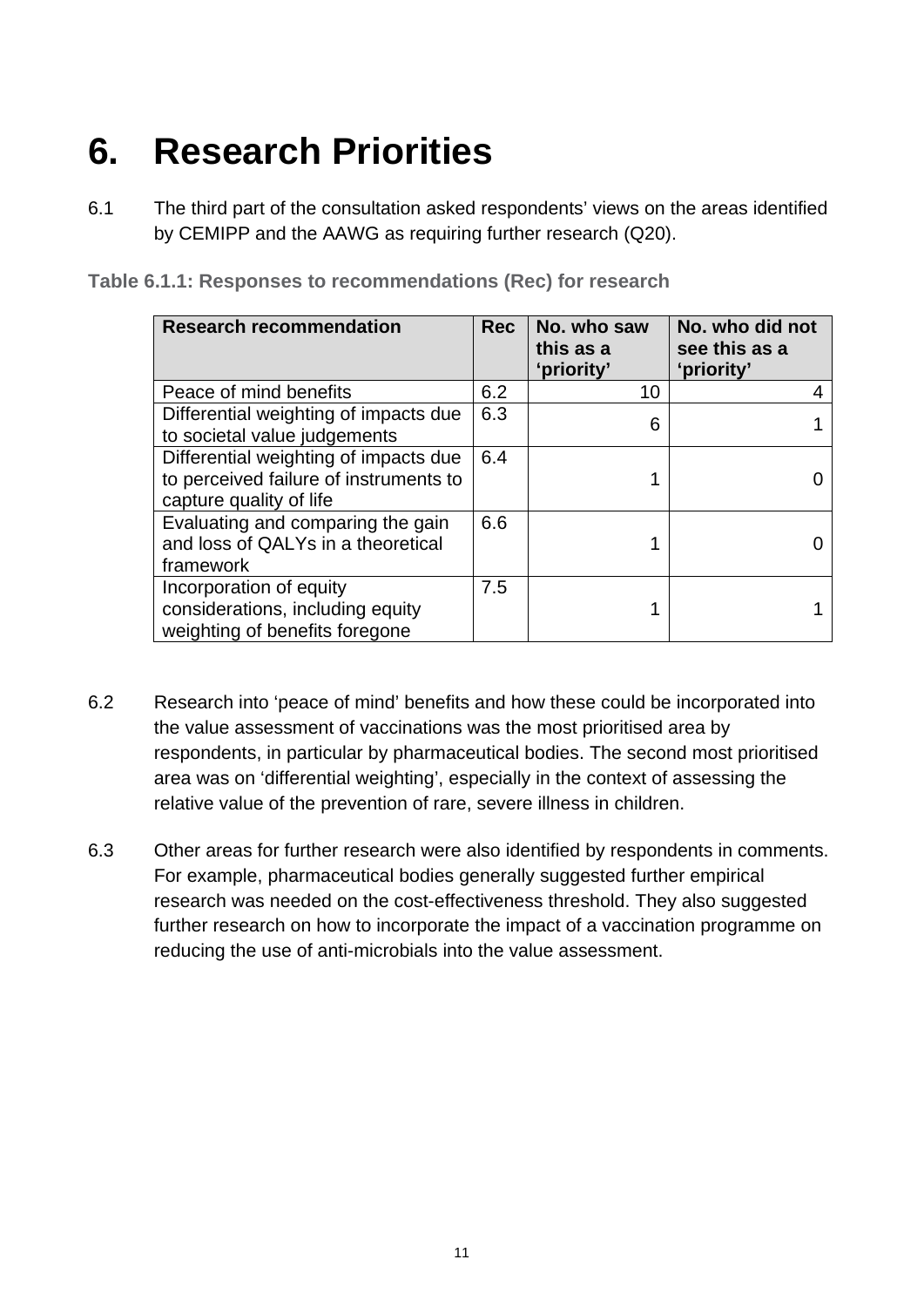## <span id="page-10-0"></span>**6. Research Priorities**

6.1 The third part of the consultation asked respondents' views on the areas identified by CEMIPP and the AAWG as requiring further research (Q20).

|  |  | Table 6.1.1: Responses to recommendations (Rec) for research |  |
|--|--|--------------------------------------------------------------|--|
|--|--|--------------------------------------------------------------|--|

| <b>Research recommendation</b>                                                                             | <b>Rec</b> | No. who saw<br>this as a<br>'priority' | No. who did not<br>see this as a<br>'priority' |
|------------------------------------------------------------------------------------------------------------|------------|----------------------------------------|------------------------------------------------|
| Peace of mind benefits                                                                                     | 6.2        | 10                                     |                                                |
| Differential weighting of impacts due<br>to societal value judgements                                      | 6.3        | 6                                      |                                                |
| Differential weighting of impacts due<br>to perceived failure of instruments to<br>capture quality of life | 6.4        |                                        |                                                |
| Evaluating and comparing the gain<br>and loss of QALYs in a theoretical<br>framework                       | 6.6        |                                        |                                                |
| Incorporation of equity<br>considerations, including equity<br>weighting of benefits foregone              | 7.5        |                                        |                                                |

- 6.2 Research into 'peace of mind' benefits and how these could be incorporated into the value assessment of vaccinations was the most prioritised area by respondents, in particular by pharmaceutical bodies. The second most prioritised area was on 'differential weighting', especially in the context of assessing the relative value of the prevention of rare, severe illness in children.
- 6.3 Other areas for further research were also identified by respondents in comments. For example, pharmaceutical bodies generally suggested further empirical research was needed on the cost-effectiveness threshold. They also suggested further research on how to incorporate the impact of a vaccination programme on reducing the use of anti-microbials into the value assessment.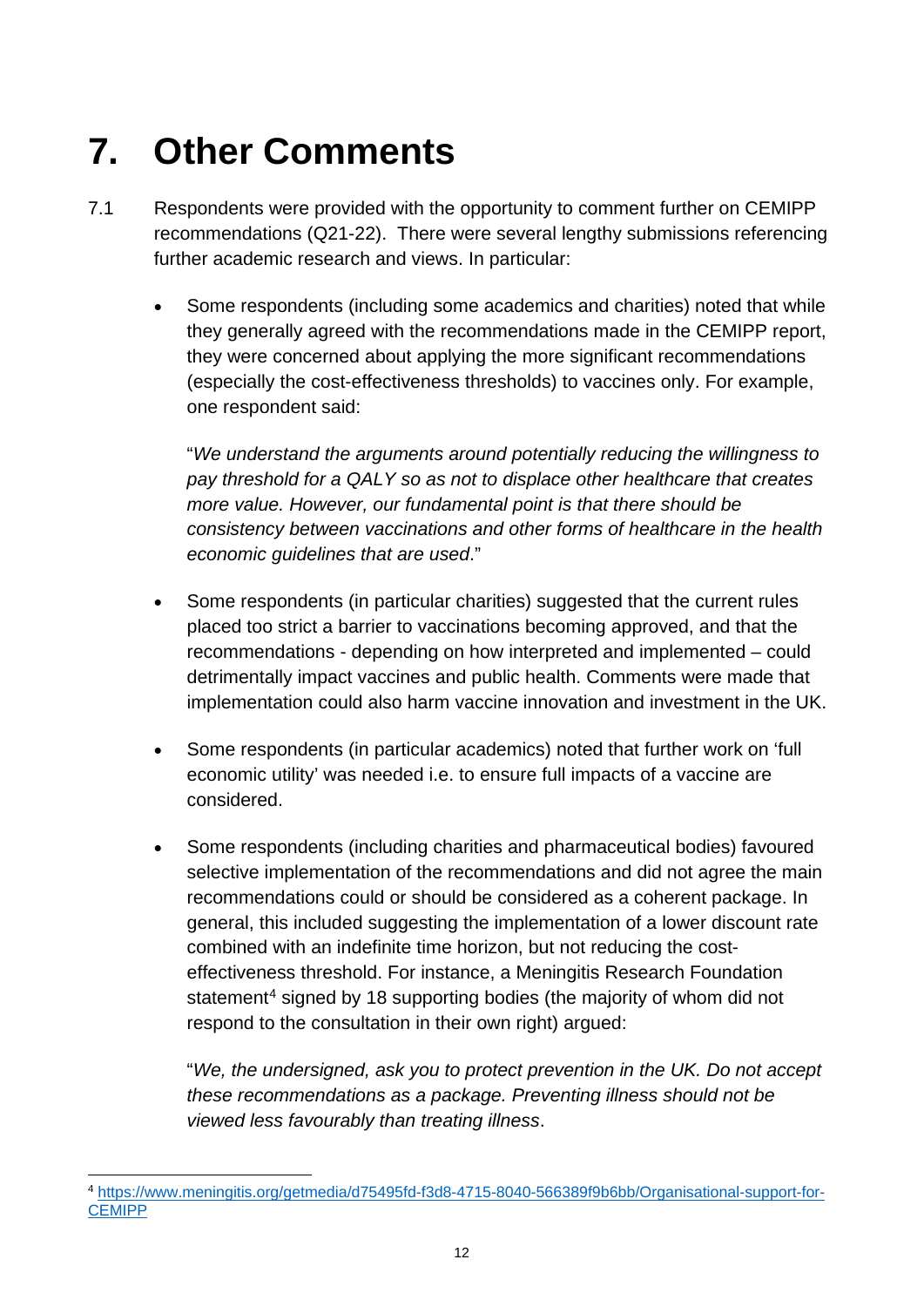## <span id="page-11-0"></span>**7. Other Comments**

- 7.1 Respondents were provided with the opportunity to comment further on CEMIPP recommendations (Q21-22). There were several lengthy submissions referencing further academic research and views. In particular:
	- Some respondents (including some academics and charities) noted that while they generally agreed with the recommendations made in the CEMIPP report, they were concerned about applying the more significant recommendations (especially the cost-effectiveness thresholds) to vaccines only. For example, one respondent said:

"*We understand the arguments around potentially reducing the willingness to pay threshold for a QALY so as not to displace other healthcare that creates more value. However, our fundamental point is that there should be consistency between vaccinations and other forms of healthcare in the health economic guidelines that are used*."

- Some respondents (in particular charities) suggested that the current rules placed too strict a barrier to vaccinations becoming approved, and that the recommendations - depending on how interpreted and implemented – could detrimentally impact vaccines and public health. Comments were made that implementation could also harm vaccine innovation and investment in the UK.
- Some respondents (in particular academics) noted that further work on 'full economic utility' was needed i.e. to ensure full impacts of a vaccine are considered.
- Some respondents (including charities and pharmaceutical bodies) favoured selective implementation of the recommendations and did not agree the main recommendations could or should be considered as a coherent package. In general, this included suggesting the implementation of a lower discount rate combined with an indefinite time horizon, but not reducing the costeffectiveness threshold. For instance, a Meningitis Research Foundation statement<sup>[4](#page-11-1)</sup> signed by 18 supporting bodies (the majority of whom did not respond to the consultation in their own right) argued:

"*We, the undersigned, ask you to protect prevention in the UK. Do not accept these recommendations as a package. Preventing illness should not be viewed less favourably than treating illness*.

<span id="page-11-1"></span> <sup>4</sup> [https://www.meningitis.org/getmedia/d75495fd-f3d8-4715-8040-566389f9b6bb/Organisational-support-for-](https://www.meningitis.org/getmedia/d75495fd-f3d8-4715-8040-566389f9b6bb/Organisational-support-for-CEMIPP)**[CEMIPP](https://www.meningitis.org/getmedia/d75495fd-f3d8-4715-8040-566389f9b6bb/Organisational-support-for-CEMIPP)**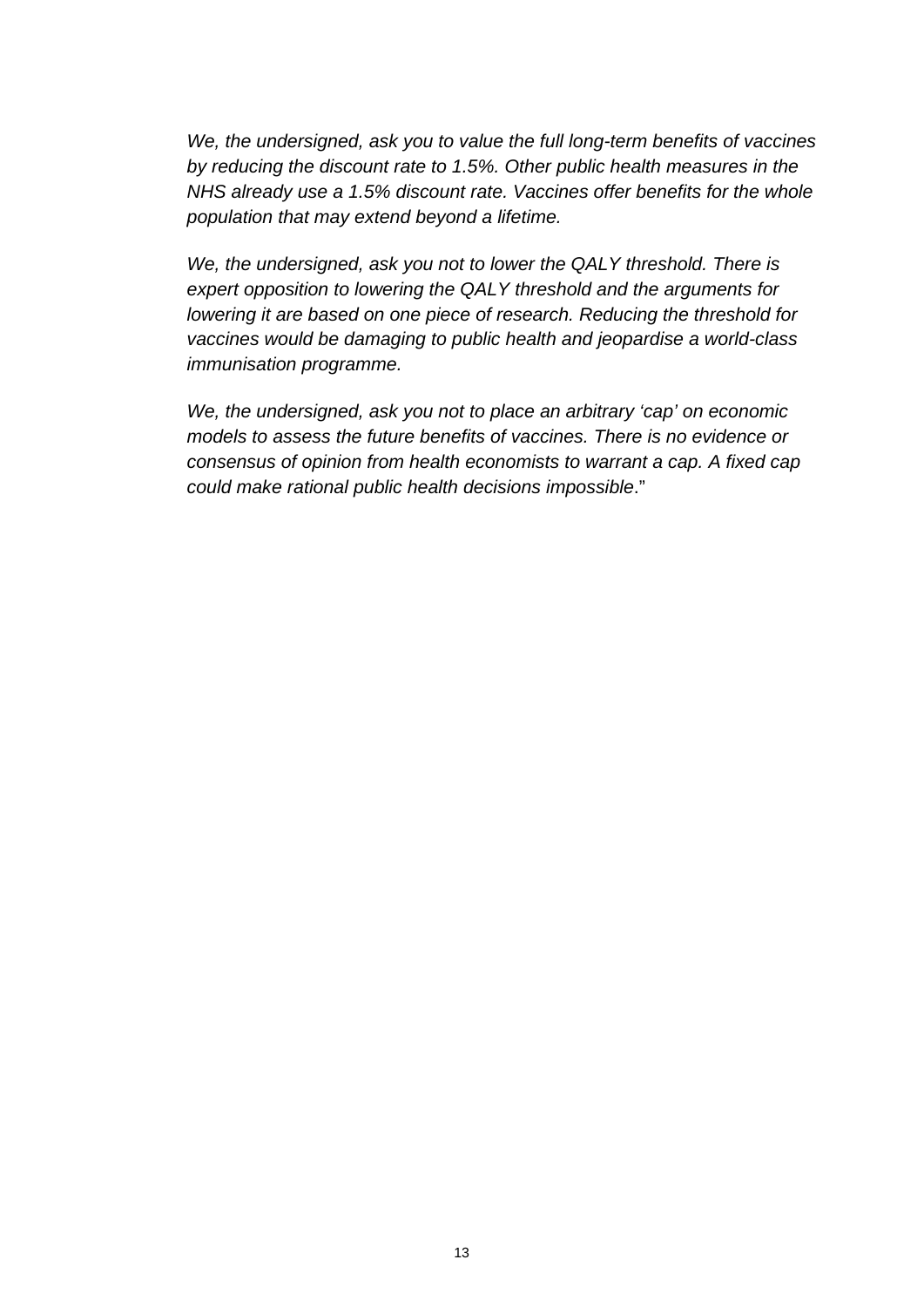*We, the undersigned, ask you to value the full long-term benefits of vaccines by reducing the discount rate to 1.5%. Other public health measures in the NHS already use a 1.5% discount rate. Vaccines offer benefits for the whole population that may extend beyond a lifetime.*

*We, the undersigned, ask you not to lower the QALY threshold. There is expert opposition to lowering the QALY threshold and the arguments for lowering it are based on one piece of research. Reducing the threshold for vaccines would be damaging to public health and jeopardise a world-class immunisation programme.*

*We, the undersigned, ask you not to place an arbitrary 'cap' on economic models to assess the future benefits of vaccines. There is no evidence or consensus of opinion from health economists to warrant a cap. A fixed cap could make rational public health decisions impossible*."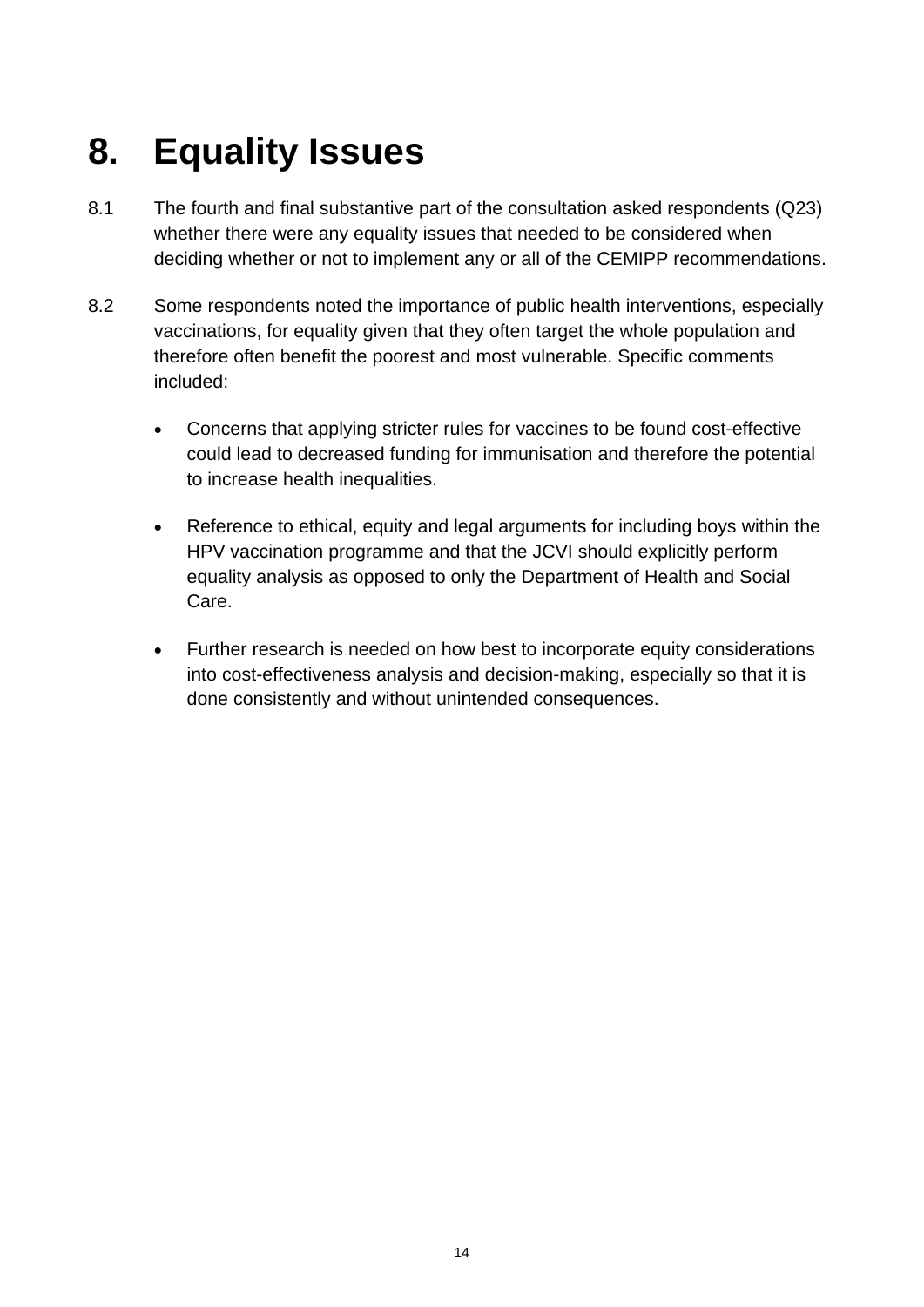## <span id="page-13-0"></span>**8. Equality Issues**

- 8.1 The fourth and final substantive part of the consultation asked respondents (Q23) whether there were any equality issues that needed to be considered when deciding whether or not to implement any or all of the CEMIPP recommendations.
- 8.2 Some respondents noted the importance of public health interventions, especially vaccinations, for equality given that they often target the whole population and therefore often benefit the poorest and most vulnerable. Specific comments included:
	- Concerns that applying stricter rules for vaccines to be found cost-effective could lead to decreased funding for immunisation and therefore the potential to increase health inequalities.
	- Reference to ethical, equity and legal arguments for including boys within the HPV vaccination programme and that the JCVI should explicitly perform equality analysis as opposed to only the Department of Health and Social Care.
	- Further research is needed on how best to incorporate equity considerations into cost-effectiveness analysis and decision-making, especially so that it is done consistently and without unintended consequences.